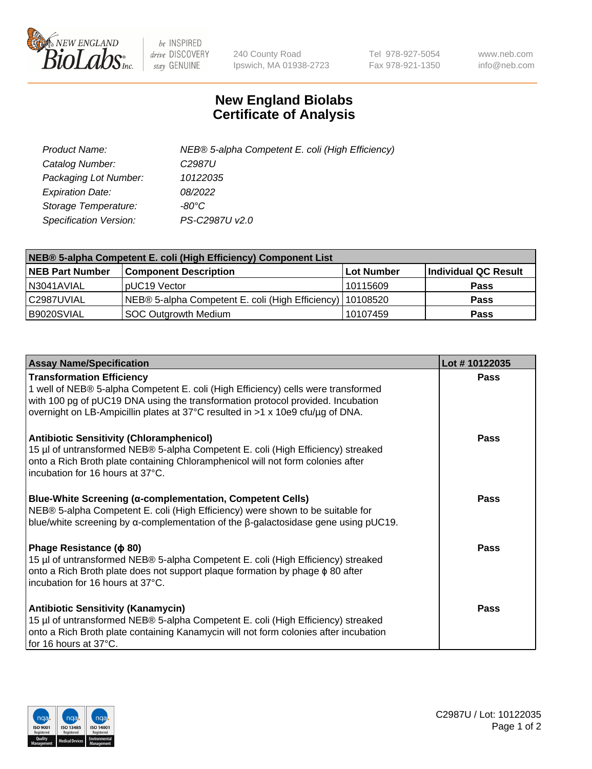

 $be$  INSPIRED drive DISCOVERY stay GENUINE

240 County Road Ipswich, MA 01938-2723 Tel 978-927-5054 Fax 978-921-1350 www.neb.com info@neb.com

## **New England Biolabs Certificate of Analysis**

| Product Name:           | NEB® 5-alpha Competent E. coli (High Efficiency) |
|-------------------------|--------------------------------------------------|
| Catalog Number:         | C <sub>2987</sub> U                              |
| Packaging Lot Number:   | 10122035                                         |
| <b>Expiration Date:</b> | 08/2022                                          |
| Storage Temperature:    | -80°C                                            |
| Specification Version:  | PS-C2987U v2.0                                   |

| NEB® 5-alpha Competent E. coli (High Efficiency) Component List |                                                             |            |                      |  |
|-----------------------------------------------------------------|-------------------------------------------------------------|------------|----------------------|--|
| <b>NEB Part Number</b>                                          | <b>Component Description</b>                                | Lot Number | Individual QC Result |  |
| N3041AVIAL                                                      | pUC19 Vector                                                | 10115609   | <b>Pass</b>          |  |
| C2987UVIAL                                                      | NEB® 5-alpha Competent E. coli (High Efficiency)   10108520 |            | <b>Pass</b>          |  |
| B9020SVIAL                                                      | SOC Outgrowth Medium                                        | 10107459   | <b>Pass</b>          |  |

| <b>Assay Name/Specification</b>                                                                                                                                                                                                                            | Lot #10122035 |
|------------------------------------------------------------------------------------------------------------------------------------------------------------------------------------------------------------------------------------------------------------|---------------|
| <b>Transformation Efficiency</b><br>1 well of NEB® 5-alpha Competent E. coli (High Efficiency) cells were transformed                                                                                                                                      | Pass          |
| with 100 pg of pUC19 DNA using the transformation protocol provided. Incubation<br>overnight on LB-Ampicillin plates at 37°C resulted in >1 x 10e9 cfu/µg of DNA.                                                                                          |               |
| <b>Antibiotic Sensitivity (Chloramphenicol)</b><br>15 µl of untransformed NEB® 5-alpha Competent E. coli (High Efficiency) streaked<br>onto a Rich Broth plate containing Chloramphenicol will not form colonies after<br>incubation for 16 hours at 37°C. | Pass          |
| Blue-White Screening (α-complementation, Competent Cells)<br>NEB® 5-alpha Competent E. coli (High Efficiency) were shown to be suitable for<br>blue/white screening by $\alpha$ -complementation of the $\beta$ -galactosidase gene using pUC19.           | <b>Pass</b>   |
| Phage Resistance ( $\phi$ 80)<br>15 µl of untransformed NEB® 5-alpha Competent E. coli (High Efficiency) streaked<br>onto a Rich Broth plate does not support plaque formation by phage $\phi$ 80 after<br>incubation for 16 hours at 37°C.                | Pass          |
| <b>Antibiotic Sensitivity (Kanamycin)</b><br>15 µl of untransformed NEB® 5-alpha Competent E. coli (High Efficiency) streaked<br>onto a Rich Broth plate containing Kanamycin will not form colonies after incubation<br>for 16 hours at 37°C.             | Pass          |